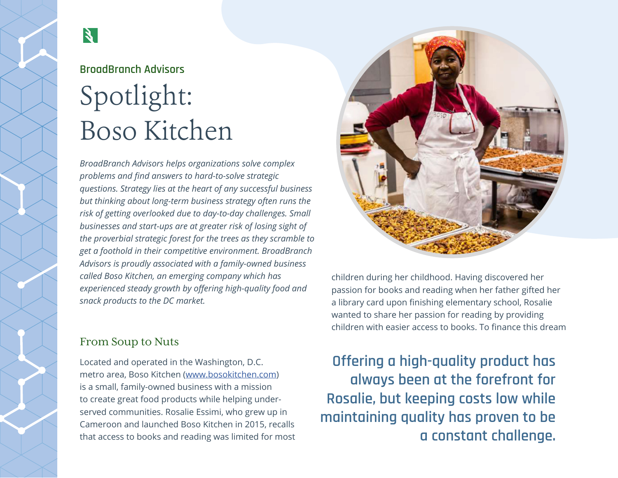# $\mathbf{X}$

# **BroadBranch Advisors**  Spotlight: Boso Kitchen

*BroadBranch Advisors helps organizations solve complex problems and find answers to hard-to-solve strategic questions. Strategy lies at the heart of any successful business but thinking about long-term business strategy often runs the risk of getting overlooked due to day-to-day challenges. Small businesses and start-ups are at greater risk of losing sight of the proverbial strategic forest for the trees as they scramble to get a foothold in their competitive environment. BroadBranch Advisors is proudly associated with a family-owned business called Boso Kitchen, an emerging company which has experienced steady growth by offering high-quality food and snack products to the DC market.*

children during her childhood. Having discovered her passion for books and reading when her father gifted her a library card upon finishing elementary school, Rosalie wanted to share her passion for reading by providing children with easier access to books. To finance this dream

**Offering a high-quality product has always been at the forefront for Rosalie, but keeping costs low while maintaining quality has proven to be a constant challenge.** 

## From Soup to Nuts

Located and operated in the Washington, D.C. metro area, Boso Kitchen (www.bosokitchen.com) is a small, family-owned business with a mission to create great food products while helping underserved communities. Rosalie Essimi, who grew up in Cameroon and launched Boso Kitchen in 2015, recalls that access to books and reading was limited for most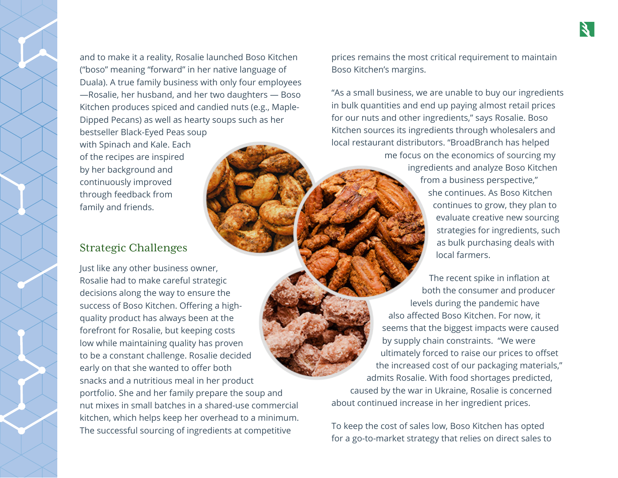and to make it a reality, Rosalie launched Boso Kitchen ("boso" meaning "forward" in her native language of Duala). A true family business with only four employees —Rosalie, her husband, and her two daughters — Boso Kitchen produces spiced and candied nuts (e.g., Maple-Dipped Pecans) as well as hearty soups such as her bestseller Black-Eyed Peas soup

with Spinach and Kale. Each of the recipes are inspired by her background and continuously improved through feedback from family and friends.

### Strategic Challenges

Just like any other business owner, Rosalie had to make careful strategic decisions along the way to ensure the success of Boso Kitchen. Offering a highquality product has always been at the forefront for Rosalie, but keeping costs low while maintaining quality has proven to be a constant challenge. Rosalie decided early on that she wanted to offer both snacks and a nutritious meal in her product portfolio. She and her family prepare the soup and nut mixes in small batches in a shared-use commercial kitchen, which helps keep her overhead to a minimum. The successful sourcing of ingredients at competitive

prices remains the most critical requirement to maintain Boso Kitchen's margins.

"As a small business, we are unable to buy our ingredients in bulk quantities and end up paying almost retail prices for our nuts and other ingredients," says Rosalie. Boso Kitchen sources its ingredients through wholesalers and local restaurant distributors. "BroadBranch has helped me focus on the economics of sourcing my ingredients and analyze Boso Kitchen from a business perspective," she continues. As Boso Kitchen continues to grow, they plan to evaluate creative new sourcing strategies for ingredients, such as bulk purchasing deals with local farmers.

The recent spike in inflation at both the consumer and producer levels during the pandemic have also affected Boso Kitchen. For now, it seems that the biggest impacts were caused by supply chain constraints. "We were ultimately forced to raise our prices to offset the increased cost of our packaging materials," admits Rosalie. With food shortages predicted, caused by the war in Ukraine, Rosalie is concerned about continued increase in her ingredient prices.

To keep the cost of sales low, Boso Kitchen has opted for a go-to-market strategy that relies on direct sales to